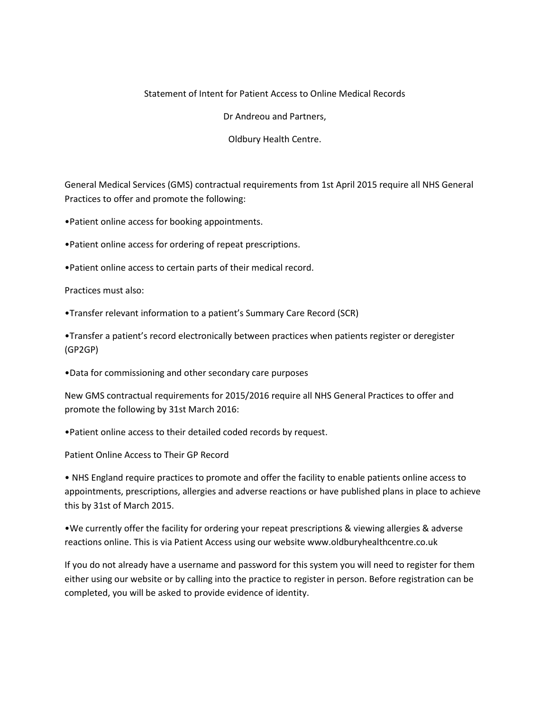## Statement of Intent for Patient Access to Online Medical Records

Dr Andreou and Partners,

Oldbury Health Centre.

General Medical Services (GMS) contractual requirements from 1st April 2015 require all NHS General Practices to offer and promote the following:

•Patient online access for booking appointments.

•Patient online access for ordering of repeat prescriptions.

•Patient online access to certain parts of their medical record.

Practices must also:

•Transfer relevant information to a patient's Summary Care Record (SCR)

•Transfer a patient's record electronically between practices when patients register or deregister (GP2GP)

•Data for commissioning and other secondary care purposes

New GMS contractual requirements for 2015/2016 require all NHS General Practices to offer and promote the following by 31st March 2016:

•Patient online access to their detailed coded records by request.

Patient Online Access to Their GP Record

• NHS England require practices to promote and offer the facility to enable patients online access to appointments, prescriptions, allergies and adverse reactions or have published plans in place to achieve this by 31st of March 2015.

•We currently offer the facility for ordering your repeat prescriptions & viewing allergies & adverse reactions online. This is via Patient Access using our website www.oldburyhealthcentre.co.uk

If you do not already have a username and password for this system you will need to register for them either using our website or by calling into the practice to register in person. Before registration can be completed, you will be asked to provide evidence of identity.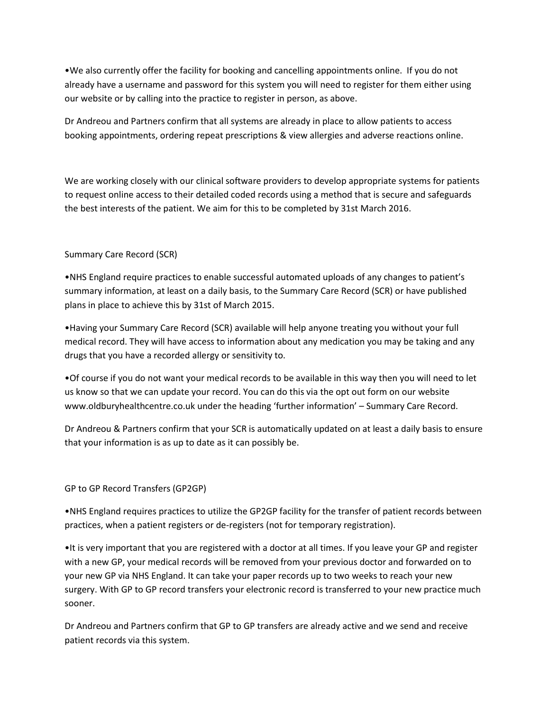•We also currently offer the facility for booking and cancelling appointments online. If you do not already have a username and password for this system you will need to register for them either using our website or by calling into the practice to register in person, as above.

Dr Andreou and Partners confirm that all systems are already in place to allow patients to access booking appointments, ordering repeat prescriptions & view allergies and adverse reactions online.

We are working closely with our clinical software providers to develop appropriate systems for patients to request online access to their detailed coded records using a method that is secure and safeguards the best interests of the patient. We aim for this to be completed by 31st March 2016.

## Summary Care Record (SCR)

•NHS England require practices to enable successful automated uploads of any changes to patient's summary information, at least on a daily basis, to the Summary Care Record (SCR) or have published plans in place to achieve this by 31st of March 2015.

•Having your Summary Care Record (SCR) available will help anyone treating you without your full medical record. They will have access to information about any medication you may be taking and any drugs that you have a recorded allergy or sensitivity to.

•Of course if you do not want your medical records to be available in this way then you will need to let us know so that we can update your record. You can do this via the opt out form on our website www.oldburyhealthcentre.co.uk under the heading 'further information' – Summary Care Record.

Dr Andreou & Partners confirm that your SCR is automatically updated on at least a daily basis to ensure that your information is as up to date as it can possibly be.

## GP to GP Record Transfers (GP2GP)

•NHS England requires practices to utilize the GP2GP facility for the transfer of patient records between practices, when a patient registers or de-registers (not for temporary registration).

•It is very important that you are registered with a doctor at all times. If you leave your GP and register with a new GP, your medical records will be removed from your previous doctor and forwarded on to your new GP via NHS England. It can take your paper records up to two weeks to reach your new surgery. With GP to GP record transfers your electronic record is transferred to your new practice much sooner.

Dr Andreou and Partners confirm that GP to GP transfers are already active and we send and receive patient records via this system.